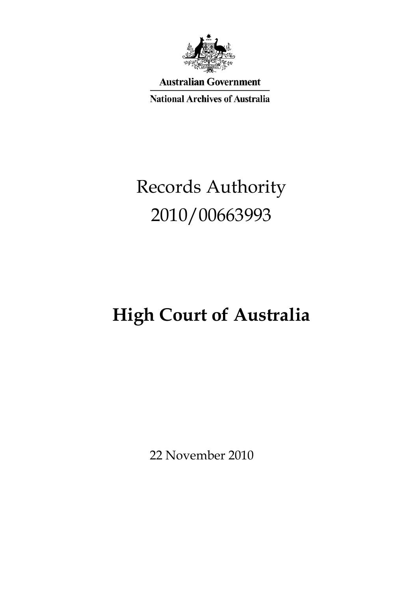

**Australian Government** 

**National Archives of Australia** 

# Records Authority 2010/00663993

# **High Court of Australia**

22 November 2010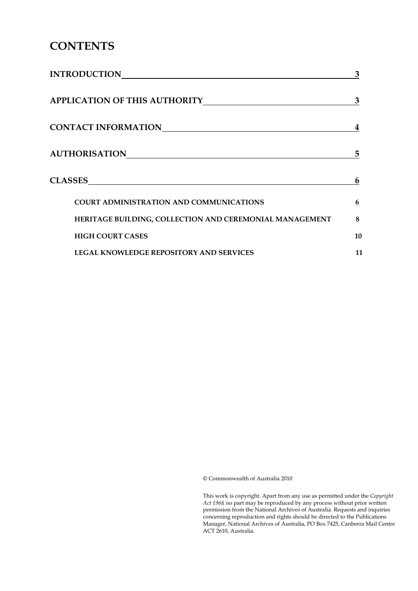## **CONTENTS**

| <b>INTRODUCTION</b>                                     | 3  |
|---------------------------------------------------------|----|
| <b>APPLICATION OF THIS AUTHORITY</b>                    | 3  |
| CONTACT INFORMATION                                     | 4  |
| <b>AUTHORISATION</b>                                    | 5  |
| <b>CLASSES</b>                                          | 6  |
| <b>COURT ADMINISTRATION AND COMMUNICATIONS</b>          | 6  |
| HERITAGE BUILDING, COLLECTION AND CEREMONIAL MANAGEMENT | 8  |
| <b>HIGH COURT CASES</b>                                 | 10 |
| <b>LEGAL KNOWLEDGE REPOSITORY AND SERVICES</b>          | 11 |

© Commonwealth of Australia 2010

 *Act 1968,* no part may be reproduced by any process without prior written This work is copyright. Apart from any use as permitted under the *Copyright*  permission from the National Archives of Australia. Requests and inquiries concerning reproduction and rights should be directed to the Publications Manager, National Archives of Australia, PO Box 7425, Canberra Mail Centre ACT 2610, Australia.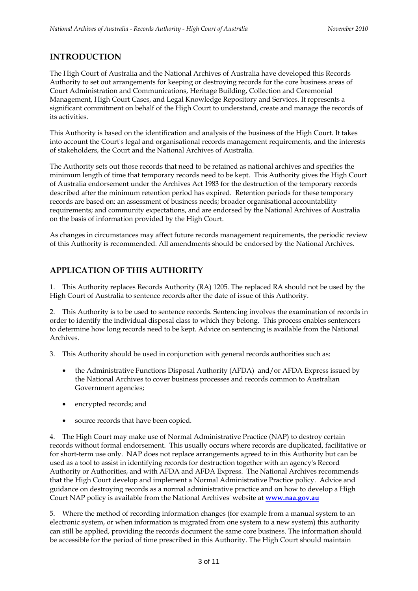#### **INTRODUCTION**

The High Court of Australia and the National Archives of Australia have developed this Records Authority to set out arrangements for keeping or destroying records for the core business areas of Court Administration and Communications, Heritage Building, Collection and Ceremonial Management, High Court Cases, and Legal Knowledge Repository and Services. It represents a significant commitment on behalf of the High Court to understand, create and manage the records of its activities.

This Authority is based on the identification and analysis of the business of the High Court. It takes into account the Court's legal and organisational records management requirements, and the interests of stakeholders, the Court and the National Archives of Australia.

 records are based on: an assessment of business needs; broader organisational accountability The Authority sets out those records that need to be retained as national archives and specifies the minimum length of time that temporary records need to be kept. This Authority gives the High Court of Australia endorsement under the Archives Act 1983 for the destruction of the temporary records described after the minimum retention period has expired. Retention periods for these temporary requirements; and community expectations, and are endorsed by the National Archives of Australia on the basis of information provided by the High Court.

As changes in circumstances may affect future records management requirements, the periodic review of this Authority is recommended. All amendments should be endorsed by the National Archives.

### **APPLICATION OF THIS AUTHORITY**

1. This Authority replaces Records Authority (RA) 1205. The replaced RA should not be used by the High Court of Australia to sentence records after the date of issue of this Authority.

2. This Authority is to be used to sentence records. Sentencing involves the examination of records in order to identify the individual disposal class to which they belong. This process enables sentencers to determine how long records need to be kept. Advice on sentencing is available from the National Archives.

3. This Authority should be used in conjunction with general records authorities such as:

- the Administrative Functions Disposal Authority (AFDA) and/or AFDA Express issued by the National Archives to cover business processes and records common to Australian Government agencies;
- encrypted records; and
- source records that have been copied.

4. The High Court may make use of Normal Administrative Practice (NAP) to destroy certain records without formal endorsement. This usually occurs where records are duplicated, facilitative or for short-term use only. NAP does not replace arrangements agreed to in this Authority but can be used as a tool to assist in identifying records for destruction together with an agency's Record Authority or Authorities, and with AFDA and AFDA Express. The National Archives recommends that the High Court develop and implement a Normal Administrative Practice policy. Advice and guidance on destroying records as a normal administrative practice and on how to develop a High Court NAP policy is available from the National Archives' website at **www.naa.gov.au** 

5. Where the method of recording information changes (for example from a manual system to an electronic system, or when information is migrated from one system to a new system) this authority can still be applied, providing the records document the same core business. The information should be accessible for the period of time prescribed in this Authority. The High Court should maintain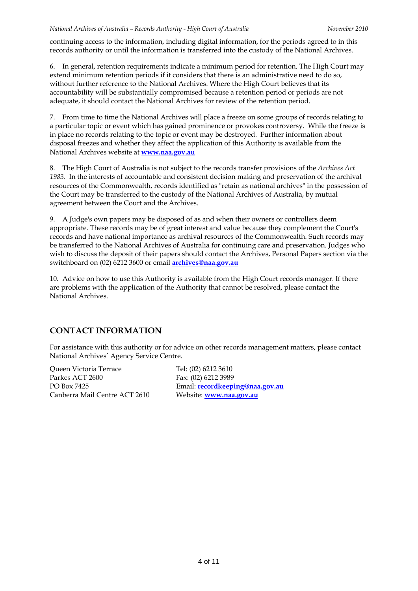continuing access to the information, including digital information, for the periods agreed to in this records authority or until the information is transferred into the custody of the National Archives.

6. In general, retention requirements indicate a minimum period for retention. The High Court may extend minimum retention periods if it considers that there is an administrative need to do so, without further reference to the National Archives. Where the High Court believes that its accountability will be substantially compromised because a retention period or periods are not adequate, it should contact the National Archives for review of the retention period.

7. From time to time the National Archives will place a freeze on some groups of records relating to a particular topic or event which has gained prominence or provokes controversy. While the freeze is in place no records relating to the topic or event may be destroyed. Further information about disposal freezes and whether they affect the application of this Authority is available from the National Archives website at **www.naa.gov.au** 

8. The High Court of Australia is not subject to the records transfer provisions of the *Archives Act 1983*. In the interests of accountable and consistent decision making and preservation of the archival resources of the Commonwealth, records identified as "retain as national archives" in the possession of the Court may be transferred to the custody of the National Archives of Australia, by mutual agreement between the Court and the Archives.

 switchboard on (02) 6212 3600 or email **archives@naa.gov.au**  9. A Judge's own papers may be disposed of as and when their owners or controllers deem appropriate. These records may be of great interest and value because they complement the Court's records and have national importance as archival resources of the Commonwealth. Such records may be transferred to the National Archives of Australia for continuing care and preservation. Judges who wish to discuss the deposit of their papers should contact the Archives, Personal Papers section via the

10. Advice on how to use this Authority is available from the High Court records manager. If there are problems with the application of the Authority that cannot be resolved, please contact the National Archives.

### **CONTACT INFORMATION**

For assistance with this authority or for advice on other records management matters, please contact National Archives' Agency Service Centre.

Queen Victoria Terrace Tel: (02) 6212 3610 Parkes ACT 2600 Fax: (02) 6212 3989 Canberra Mail Centre ACT 2610 Website: **www.naa.gov.au** 

PO Box 7425 Email: **recordkeeping@naa.gov.au**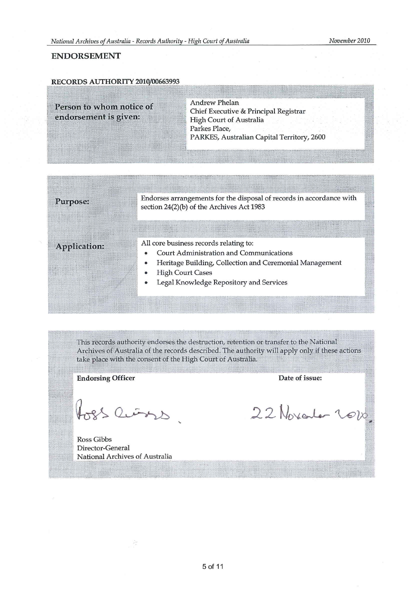#### **ENDORSEMENT**

#### RECORDS AUTHORITY 2010/00663993

**Andrew Phelan** Person to whom notice of Chief Executive & Principal Registrar endorsement is given: High Court of Australia Parkes Place, PARKES, Australian Capital Territory, 2600

| Purpose:     | Endorses arrangements for the disposal of records in accordance with<br>section 24(2)(b) of the Archives Act 1983                                                                                                         |
|--------------|---------------------------------------------------------------------------------------------------------------------------------------------------------------------------------------------------------------------------|
| Application: | All core business records relating to:<br><b>Court Administration and Communications</b><br>Heritage Building, Collection and Ceremonial Management<br><b>High Court Cases</b><br>Legal Knowledge Repository and Services |

This records authority endorses the destruction, retention or transfer to the National Archives of Australia of the records described. The authority will apply only if these actions take place with the consent of the High Court of Australia.

**Endorsing Officer** 

fors Cins

Ross Gibbs Director-General National Archives of Australia

Á.

Date of issue:

22 November 2010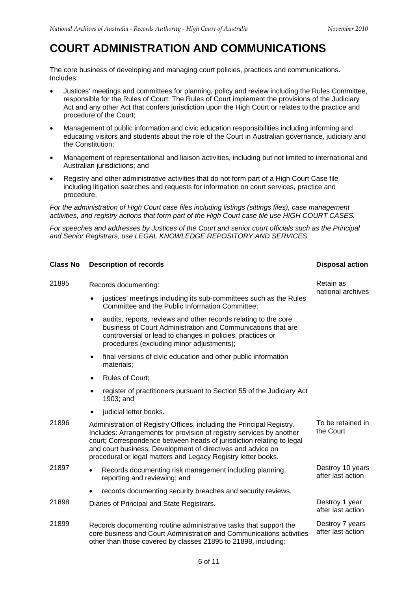**Disposal action** 

## **COURT ADMINISTRATION AND COMMUNICATIONS**

The core business of developing and managing court policies, practices and communications. Includes:

- Justices' meetings and committees for planning, policy and review including the Rules Committee, responsible for the Rules of Court: The Rules of Court implement the provisions of the Judiciary Act and any other Act that confers jurisdiction upon the High Court or relates to the practice and procedure of the Court;
- Management of public information and civic education responsibilities including informing and educating visitors and students about the role of the Court in Australian governance, judiciary and the Constitution;
- Australian jurisdictions; and Management of representational and liaison activities, including but not limited to international and
- Registry and other administrative activities that do not form part of a High Court Case file including litigation searches and requests for information on court services, practice and procedure.

*For the administration of High Court case files including listings (sittings files), case management activities, and registry actions that form part of the High Court case file use HIGH COURT CASES.* 

*For speeches and addresses by Justices of the Court and senior court officials such as the Principal and Senior Registrars, use LEGAL KNOWLEDGE REPOSITORY AND SERVICES.* 

| <b>Class No</b> | <b>Description of records</b> |
|-----------------|-------------------------------|
|-----------------|-------------------------------|

| 21895 | Records documenting:                                                                                                                                                                                                                                                                                                                                   | Retain as                             |
|-------|--------------------------------------------------------------------------------------------------------------------------------------------------------------------------------------------------------------------------------------------------------------------------------------------------------------------------------------------------------|---------------------------------------|
|       | justices' meetings including its sub-committees such as the Rules<br>Committee and the Public Information Committee;                                                                                                                                                                                                                                   | national archives                     |
|       | audits, reports, reviews and other records relating to the core<br>$\bullet$<br>business of Court Administration and Communications that are<br>controversial or lead to changes in policies, practices or<br>procedures (excluding minor adjustments);                                                                                                |                                       |
|       | final versions of civic education and other public information<br>$\bullet$<br>materials;                                                                                                                                                                                                                                                              |                                       |
|       | <b>Rules of Court:</b><br>$\bullet$                                                                                                                                                                                                                                                                                                                    |                                       |
|       | register of practitioners pursuant to Section 55 of the Judiciary Act<br>$\bullet$<br>1903; and                                                                                                                                                                                                                                                        |                                       |
|       | judicial letter books.<br>$\bullet$                                                                                                                                                                                                                                                                                                                    |                                       |
| 21896 | Administration of Registry Offices, including the Principal Registry.<br>Includes: Arrangements for provision of registry services by another<br>court; Correspondence between heads of jurisdiction relating to legal<br>and court business; Development of directives and advice on<br>procedural or legal matters and Legacy Registry letter books. | To be retained in<br>the Court        |
| 21897 | Records documenting risk management including planning,<br>$\bullet$<br>reporting and reviewing; and                                                                                                                                                                                                                                                   | Destroy 10 years<br>after last action |
|       | records documenting security breaches and security reviews.                                                                                                                                                                                                                                                                                            |                                       |
| 21898 | Diaries of Principal and State Registrars.                                                                                                                                                                                                                                                                                                             | Destroy 1 year<br>after last action   |
| 21899 | Records documenting routine administrative tasks that support the<br>core business and Court Administration and Communications activities<br>other than those covered by classes 21895 to 21898, including:                                                                                                                                            | Destroy 7 years<br>after last action  |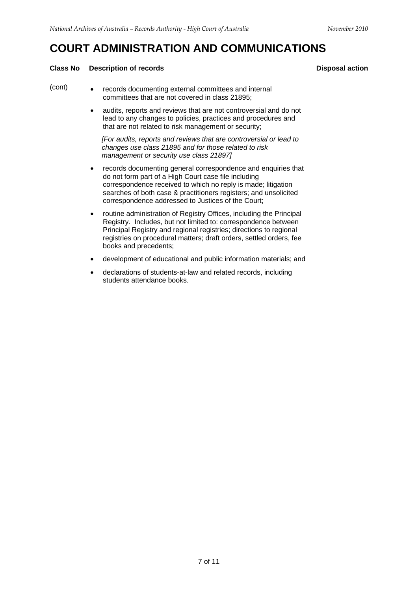## **COURT ADMINISTRATION AND COMMUNICATIONS**

#### **Class No Description of records Disposal action Activities Action Activities Action Activities Action Activities**

- (cont) • records documenting external committees and internal committees that are not covered in class 21895;
	- audits, reports and reviews that are not controversial and do not lead to any changes to policies, practices and procedures and that are not related to risk management or security;

*[For audits, reports and reviews that are controversial or lead to changes use class 21895 and for those related to risk management or security use class 21897]* 

- records documenting general correspondence and enquiries that do not form part of a High Court case file including correspondence received to which no reply is made; litigation searches of both case & practitioners registers; and unsolicited correspondence addressed to Justices of the Court;
- routine administration of Registry Offices, including the Principal Registry. Includes, but not limited to: correspondence between Principal Registry and regional registries; directions to regional registries on procedural matters; draft orders, settled orders, fee books and precedents;
- development of educational and public information materials; and
- declarations of students-at-law and related records, including students attendance books.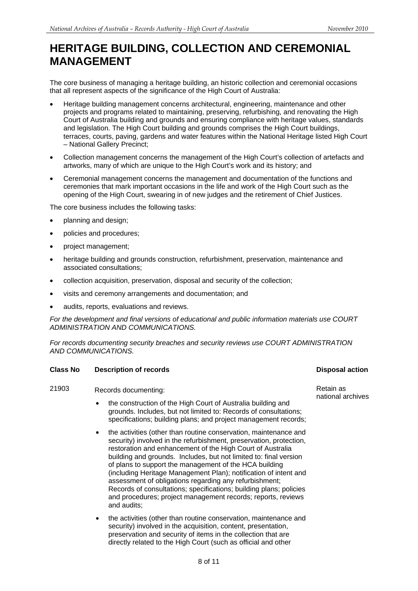## **HERITAGE BUILDING, COLLECTION AND CEREMONIAL MANAGEMENT**

The core business of managing a heritage building, an historic collection and ceremonial occasions that all represent aspects of the significance of the High Court of Australia:

- – National Gallery Precinct; Heritage building management concerns architectural, engineering, maintenance and other projects and programs related to maintaining, preserving, refurbishing, and renovating the High Court of Australia building and grounds and ensuring compliance with heritage values, standards and legislation. The High Court building and grounds comprises the High Court buildings, terraces, courts, paving, gardens and water features within the National Heritage listed High Court
- Collection management concerns the management of the High Court's collection of artefacts and artworks, many of which are unique to the High Court's work and its history; and
- Ceremonial management concerns the management and documentation of the functions and ceremonies that mark important occasions in the life and work of the High Court such as the opening of the High Court, swearing in of new judges and the retirement of Chief Justices.

The core business includes the following tasks:

- planning and design;
- policies and procedures;
- project management;
- heritage building and grounds construction, refurbishment, preservation, maintenance and associated consultations;
- collection acquisition, preservation, disposal and security of the collection;
- visits and ceremony arrangements and documentation; and
- audits, reports, evaluations and reviews.

*For the development and final versions of educational and public information materials use COURT ADMINISTRATION AND COMMUNICATIONS.* 

*For records documenting security breaches and security reviews use COURT ADMINISTRATION AND COMMUNICATIONS.* 

#### **Class No Description of records Class Action Action Action Action Action Action Action Action Action Action Action**

21903 Records documenting: Entertainment of the Retain as Retain as Retain as Retain as Retain as Retain as Retain as Retain as Records documenting:  $R = R \cdot R \cdot R$  Retain as Records documenting:

- the construction of the High Court of Australia building and grounds. Includes, but not limited to: Records of consultations; specifications; building plans; and project management records;
- the activities (other than routine conservation, maintenance and security) involved in the refurbishment, preservation, protection, restoration and enhancement of the High Court of Australia building and grounds. Includes, but not limited to: final version of plans to support the management of the HCA building (including Heritage Management Plan); notification of intent and assessment of obligations regarding any refurbishment; Records of consultations; specifications; building plans; policies and procedures; project management records; reports, reviews and audits;
- the activities (other than routine conservation, maintenance and security) involved in the acquisition, content, presentation, preservation and security of items in the collection that are directly related to the High Court (such as official and other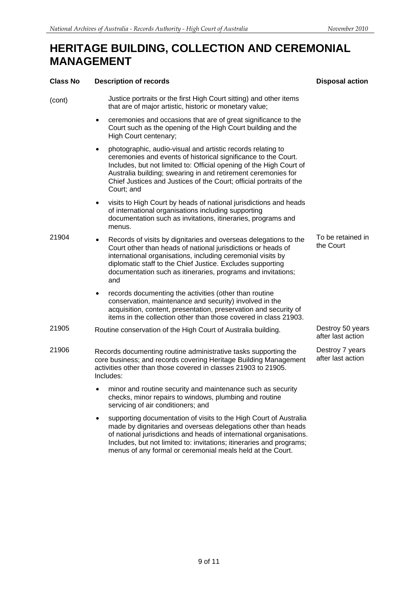## **HERITAGE BUILDING, COLLECTION AND CEREMONIAL MANAGEMENT**

| <b>Class No</b> | <b>Description of records</b>                                                                                                                                                                                                                                                                                                                                           | <b>Disposal action</b>                |
|-----------------|-------------------------------------------------------------------------------------------------------------------------------------------------------------------------------------------------------------------------------------------------------------------------------------------------------------------------------------------------------------------------|---------------------------------------|
| (cont)          | Justice portraits or the first High Court sitting) and other items<br>that are of major artistic, historic or monetary value;                                                                                                                                                                                                                                           |                                       |
|                 | ceremonies and occasions that are of great significance to the<br>٠<br>Court such as the opening of the High Court building and the<br>High Court centenary;                                                                                                                                                                                                            |                                       |
|                 | photographic, audio-visual and artistic records relating to<br>$\bullet$<br>ceremonies and events of historical significance to the Court.<br>Includes, but not limited to: Official opening of the High Court of<br>Australia building; swearing in and retirement ceremonies for<br>Chief Justices and Justices of the Court; official portraits of the<br>Court; and |                                       |
|                 | visits to High Court by heads of national jurisdictions and heads<br>$\bullet$<br>of international organisations including supporting<br>documentation such as invitations, itineraries, programs and<br>menus.                                                                                                                                                         |                                       |
| 21904           | Records of visits by dignitaries and overseas delegations to the<br>٠<br>Court other than heads of national jurisdictions or heads of<br>international organisations, including ceremonial visits by<br>diplomatic staff to the Chief Justice. Excludes supporting<br>documentation such as itineraries, programs and invitations;<br>and                               | To be retained in<br>the Court        |
|                 | records documenting the activities (other than routine<br>٠<br>conservation, maintenance and security) involved in the<br>acquisition, content, presentation, preservation and security of<br>items in the collection other than those covered in class 21903.                                                                                                          |                                       |
| 21905           | Routine conservation of the High Court of Australia building.                                                                                                                                                                                                                                                                                                           | Destroy 50 years<br>after last action |
| 21906           | Records documenting routine administrative tasks supporting the<br>core business; and records covering Heritage Building Management<br>activities other than those covered in classes 21903 to 21905.<br>Includes:                                                                                                                                                      | Destroy 7 years<br>after last action  |
|                 | minor and routine security and maintenance such as security<br>checks, minor repairs to windows, plumbing and routine<br>servicing of air conditioners; and                                                                                                                                                                                                             |                                       |
|                 | supporting documentation of visits to the High Court of Australia<br>٠<br>made by dignitaries and overseas delegations other than heads<br>of national jurisdictions and heads of international organisations.<br>Includes, but not limited to: invitations; itineraries and programs;<br>menus of any formal or ceremonial meals held at the Court.                    |                                       |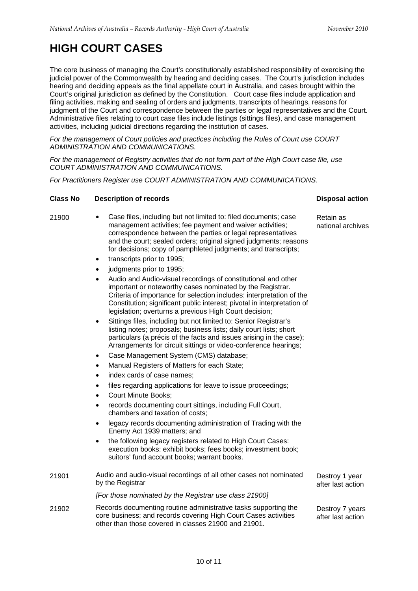## **HIGH COURT CASES**

The core business of managing the Court's constitutionally established responsibility of exercising the judicial power of the Commonwealth by hearing and deciding cases. The Court's jurisdiction includes hearing and deciding appeals as the final appellate court in Australia, and cases brought within the Court's original jurisdiction as defined by the Constitution. Court case files include application and filing activities, making and sealing of orders and judgments, transcripts of hearings, reasons for judgment of the Court and correspondence between the parties or legal representatives and the Court. Administrative files relating to court case files include listings (sittings files), and case management activities, including judicial directions regarding the institution of cases.

*For the management of Court policies and practices including the Rules of Court use COURT ADMINISTRATION AND COMMUNICATIONS.* 

*For the management of Registry activities that do not form part of the High Court case file, use COURT ADMINISTRATION AND COMMUNICATIONS.* 

*For Practitioners Register use COURT ADMINISTRATION AND COMMUNICATIONS.* 

#### **Class No Description of records Class Action Action Action Action Action Action Action Action Action Action Action Action Action Action Action Action Action Action Action Action Action Action Action Action Action Action A**

- 
- 21900 • Case files, including but not limited to: filed documents; case management activities; fee payment and waiver activities; correspondence between the parties or legal representatives and the court; sealed orders; original signed judgments; reasons for decisions; copy of pamphleted judgments; and transcripts;
	- transcripts prior to 1995;
	- judgments prior to 1995;
	- Audio and Audio-visual recordings of constitutional and other important or noteworthy cases nominated by the Registrar. Criteria of importance for selection includes: interpretation of the Constitution; significant public interest; pivotal in interpretation of legislation; overturns a previous High Court decision;
	- Sittings files, including but not limited to: Senior Registrar's listing notes; proposals; business lists; daily court lists; short particulars (a précis of the facts and issues arising in the case); Arrangements for circuit sittings or video-conference hearings;
	- Case Management System (CMS) database;
	- Manual Registers of Matters for each State;
	- index cards of case names;
	- files regarding applications for leave to issue proceedings;
	- Court Minute Books;
	- records documenting court sittings, including Full Court, chambers and taxation of costs;
	- legacy records documenting administration of Trading with the Enemy Act 1939 matters; and
	- the following legacy registers related to High Court Cases: execution books: exhibit books; fees books; investment book; suitors' fund account books; warrant books.
- 21901 Audio and audio-visual recordings of all other cases not nominated by the Registrar Destroy 1 year after last action

*[For those nominated by the Registrar use class 21900]* 

21902 Records documenting routine administrative tasks supporting the core business; and records covering High Court Cases activities other than those covered in classes 21900 and 21901.

Retain as national archives

Destroy 7 years after last action